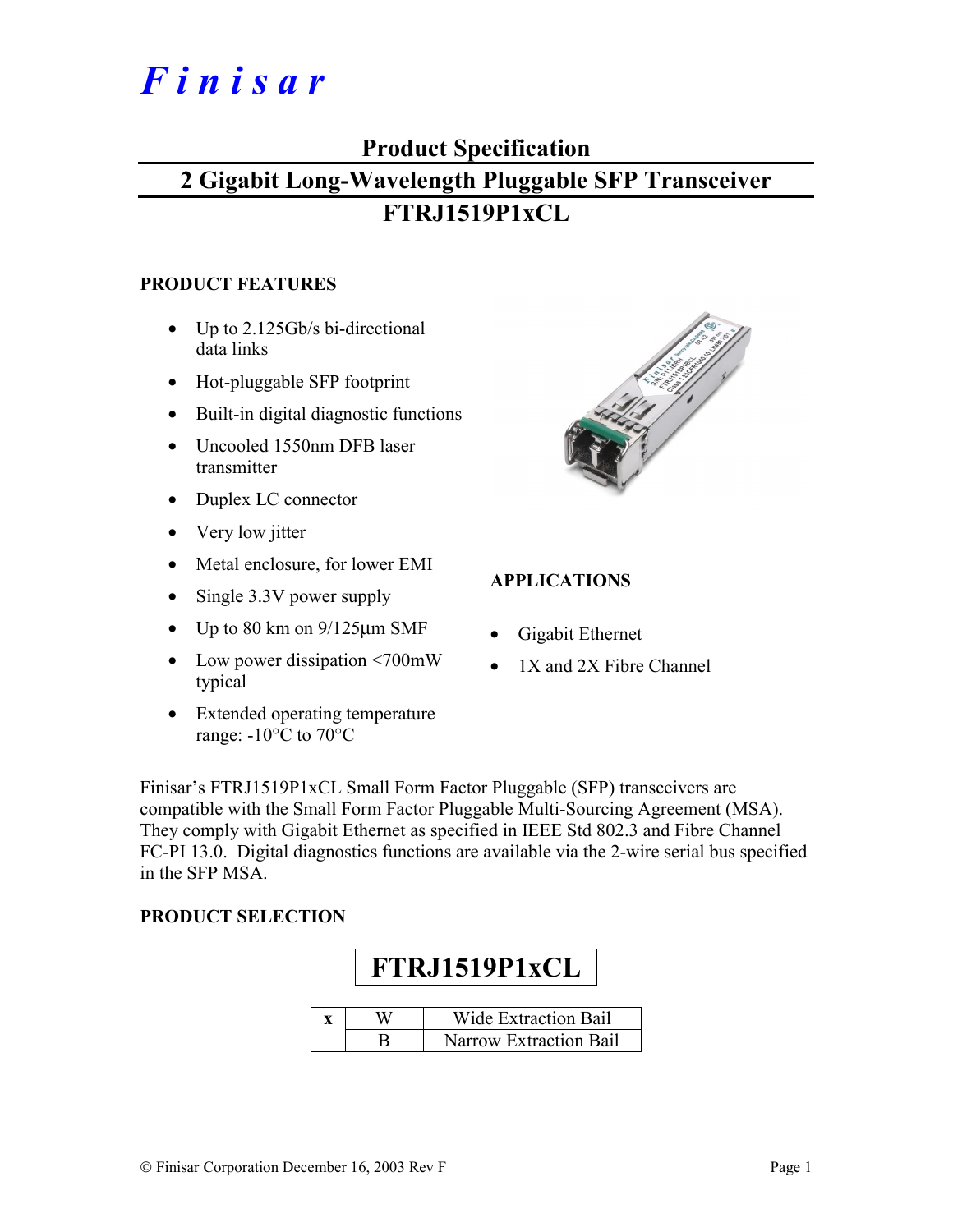# *F i n i s a r*

### **Product Specification**

### **2 Gigabit Long-Wavelength Pluggable SFP Transceiver FTRJ1519P1xCL**

#### **PRODUCT FEATURES**

- Up to 2.125Gb/s bi-directional data links
- Hot-pluggable SFP footprint
- Built-in digital diagnostic functions
- Uncooled 1550nm DFB laser transmitter
- Duplex LC connector
- Very low jitter
- Metal enclosure, for lower EMI
- Single 3.3V power supply
- Up to 80 km on  $9/125 \mu m$  SMF
- Low power dissipation <700mW typical
- Extended operating temperature range: -10°C to 70°C



#### **APPLICATIONS**

- Gigabit Ethernet
- 1X and 2X Fibre Channel

Finisar's FTRJ1519P1xCL Small Form Factor Pluggable (SFP) transceivers are compatible with the Small Form Factor Pluggable Multi-Sourcing Agreement (MSA). They comply with Gigabit Ethernet as specified in IEEE Std 802.3 and Fibre Channel FC-PI 13.0. Digital diagnostics functions are available via the 2-wire serial bus specified in the SFP MSA.

#### **PRODUCT SELECTION**

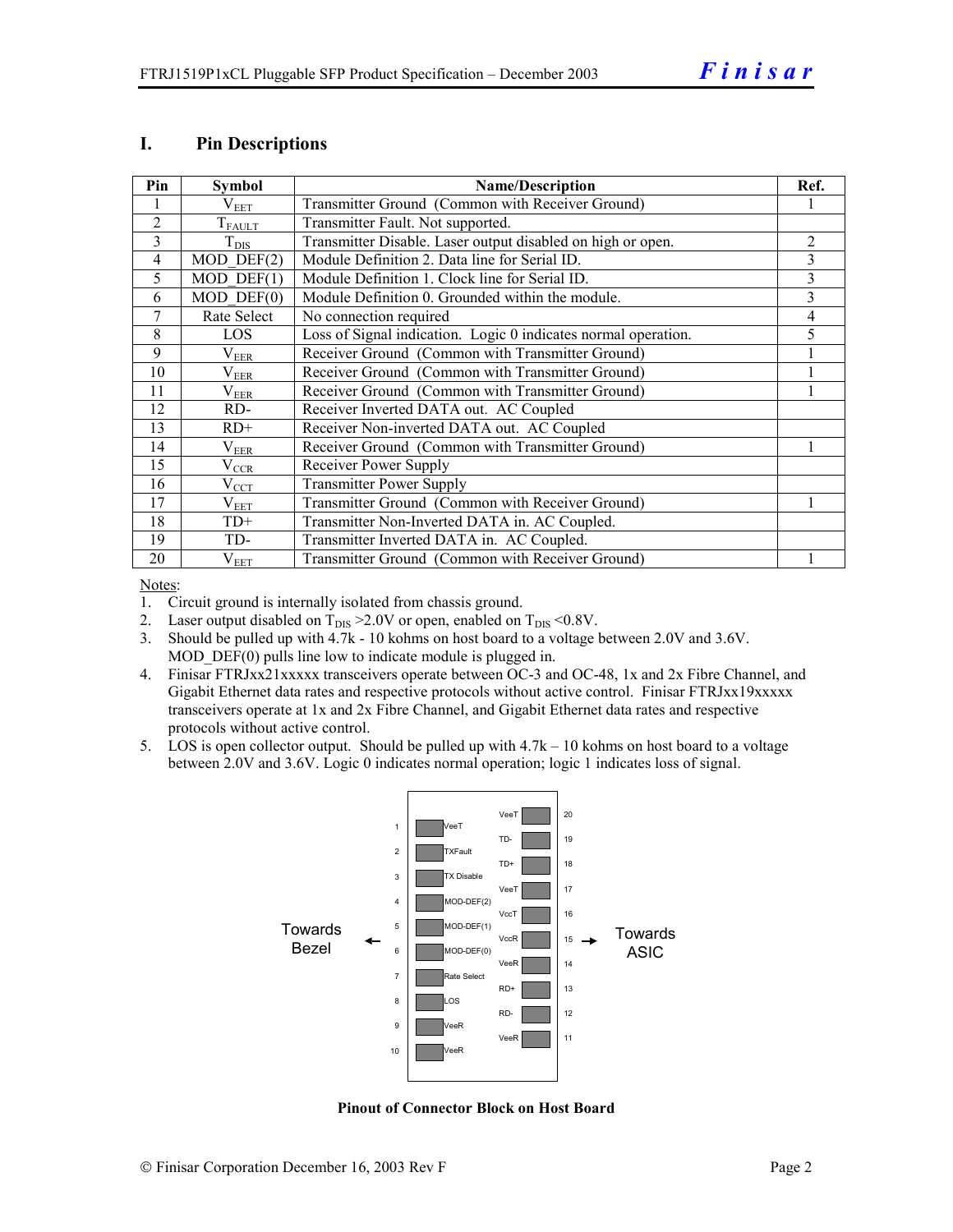#### **I. Pin Descriptions**

| Pin            | <b>Symbol</b>    | <b>Name/Description</b>                                        | Ref.           |
|----------------|------------------|----------------------------------------------------------------|----------------|
|                | $\rm V_{EET}$    | Transmitter Ground (Common with Receiver Ground)               |                |
| $\overline{2}$ | $T_{FALLT}$      | Transmitter Fault. Not supported.                              |                |
| 3              | $T_{\text{DIS}}$ | Transmitter Disable. Laser output disabled on high or open.    | $\overline{2}$ |
| $\overline{4}$ | $MOD$ DEF $(2)$  | Module Definition 2. Data line for Serial ID.                  | 3              |
| 5              | $MOD$ DEF $(1)$  | Module Definition 1. Clock line for Serial ID.                 | 3              |
| 6              | $MOD$ $DEF(0)$   | Module Definition 0. Grounded within the module.               | 3              |
| 7              | Rate Select      | No connection required                                         | 4              |
| 8              | LOS              | Loss of Signal indication. Logic 0 indicates normal operation. | 5              |
| 9              | $\rm V_{EER}$    | Receiver Ground (Common with Transmitter Ground)               |                |
| 10             | $\rm V_{EER}$    | Receiver Ground (Common with Transmitter Ground)               |                |
| 11             | $\rm V_{EER}$    | Receiver Ground (Common with Transmitter Ground)               |                |
| 12             | RD-              | Receiver Inverted DATA out. AC Coupled                         |                |
| 13             | $RD+$            | Receiver Non-inverted DATA out. AC Coupled                     |                |
| 14             | $\rm V_{EER}$    | Receiver Ground (Common with Transmitter Ground)               |                |
| 15             | $\rm V_{CCR}$    | Receiver Power Supply                                          |                |
| 16             | $V_{\rm CCT}$    | <b>Transmitter Power Supply</b>                                |                |
| 17             | $\rm V_{EET}$    | Transmitter Ground (Common with Receiver Ground)               |                |
| 18             | $TD+$            | Transmitter Non-Inverted DATA in. AC Coupled.                  |                |
| 19             | TD-              | Transmitter Inverted DATA in. AC Coupled.                      |                |
| 20             | $\rm V_{EET}$    | Transmitter Ground (Common with Receiver Ground)               |                |

Notes:

1. Circuit ground is internally isolated from chassis ground.

2. Laser output disabled on  $T_{DIS} > 2.0V$  or open, enabled on  $T_{DIS} < 0.8V$ .

3. Should be pulled up with 4.7k - 10 kohms on host board to a voltage between 2.0V and 3.6V. MOD DEF(0) pulls line low to indicate module is plugged in.

- 4. Finisar FTRJxx21xxxxx transceivers operate between OC-3 and OC-48, 1x and 2x Fibre Channel, and Gigabit Ethernet data rates and respective protocols without active control. Finisar FTRJxx19xxxxx transceivers operate at 1x and 2x Fibre Channel, and Gigabit Ethernet data rates and respective protocols without active control.
- 5. LOS is open collector output. Should be pulled up with 4.7k 10 kohms on host board to a voltage between 2.0V and 3.6V. Logic 0 indicates normal operation; logic 1 indicates loss of signal.



**Pinout of Connector Block on Host Board**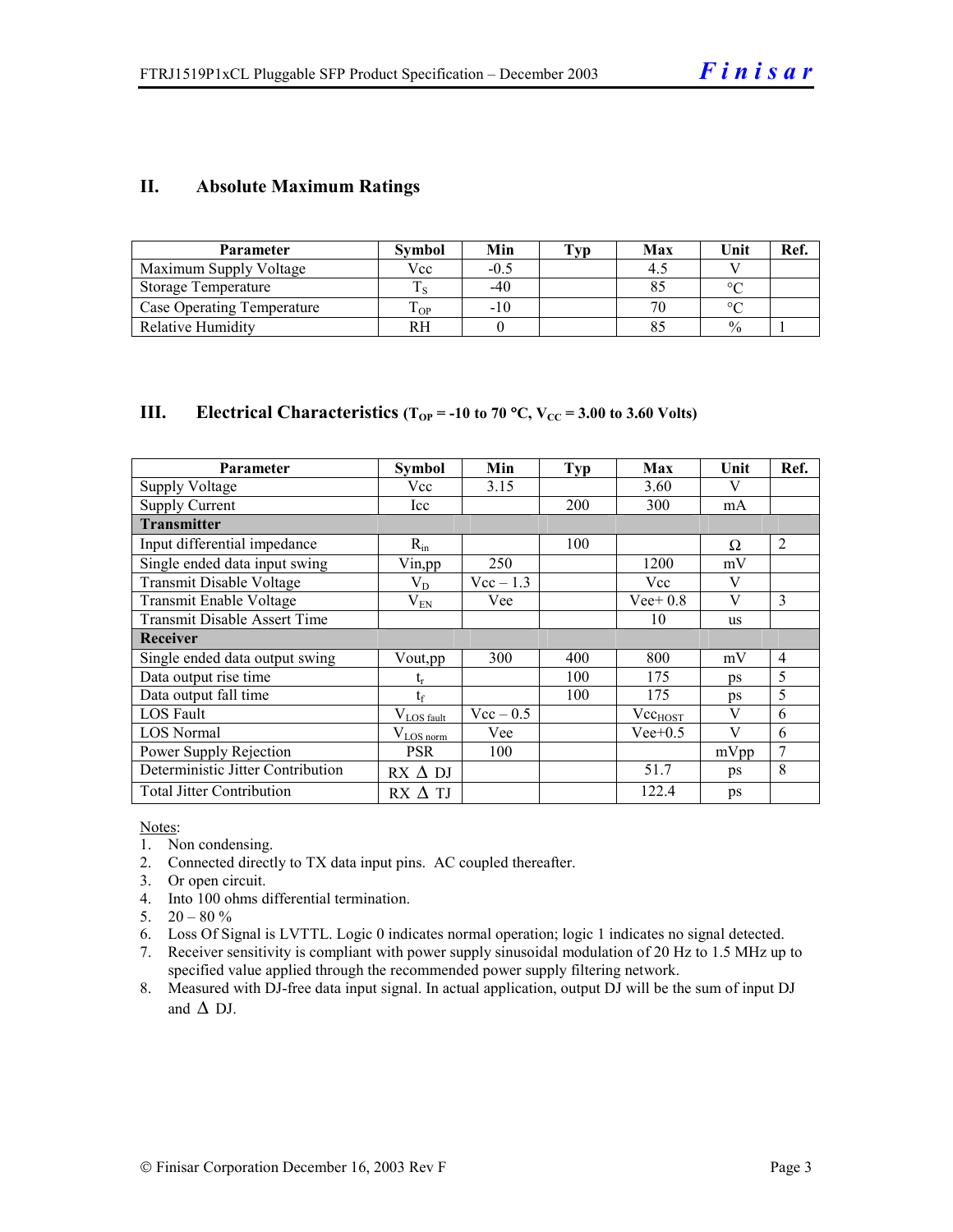#### **II. Absolute Maximum Ratings**

| <b>Parameter</b>                  | <b>Symbol</b> | Min    | Typ | Max | Unit          | Ref. |
|-----------------------------------|---------------|--------|-----|-----|---------------|------|
| Maximum Supply Voltage            | Vcc           | $-0.5$ |     |     |               |      |
| Storage Temperature               |               | $-40$  |     |     | $\circ$       |      |
| <b>Case Operating Temperature</b> | OP-           | $-10$  |     |     | $\Omega$      |      |
| Relative Humidity                 | RН            |        |     |     | $\frac{0}{0}$ |      |

#### **III.** Electrical Characteristics ( $T_{OP}$  = -10 to 70 °C,  $V_{CC}$  = 3.00 to 3.60 Volts)

| <b>Parameter</b>                    | Symbol           | Min         | <b>Typ</b> | Max          | Unit      | Ref.           |
|-------------------------------------|------------------|-------------|------------|--------------|-----------|----------------|
| Supply Voltage                      | Vcc              | 3.15        |            | 3.60         | V         |                |
| <b>Supply Current</b>               | Icc              |             | 200        | 300          | mA        |                |
| <b>Transmitter</b>                  |                  |             |            |              |           |                |
| Input differential impedance        | $R_{in}$         |             | 100        |              | Ω         | 2              |
| Single ended data input swing       | Vin, pp          | 250         |            | 1200         | mV        |                |
| <b>Transmit Disable Voltage</b>     | $\rm V_{D}$      | $Vec-1.3$   |            | Vcc          | V         |                |
| Transmit Enable Voltage             | $\rm V_{EN}$     | Vee         |            | $Vee+0.8$    | V         | 3              |
| <b>Transmit Disable Assert Time</b> |                  |             |            | 10           | <b>us</b> |                |
| Receiver                            |                  |             |            |              |           |                |
| Single ended data output swing      | Vout, pp         | 300         | 400        | 800          | mV        | $\overline{4}$ |
| Data output rise time               | եր               |             | 100        | 175          | ps        | 5              |
| Data output fall time               | $t_{\rm f}$      |             | 100        | 175          | <b>ps</b> | 5              |
| LOS Fault                           | $V_{LOS\_fault}$ | $Vec - 0.5$ |            | $Vec_{HOST}$ | V         | 6              |
| <b>LOS</b> Normal                   | $V_{LOS\,norm}$  | Vee         |            | $Vee+0.5$    | V         | 6              |
| Power Supply Rejection              | <b>PSR</b>       | 100         |            |              | mVpp      | $\overline{7}$ |
| Deterministic Jitter Contribution   | $RX \Delta DI$   |             |            | 51.7         | ps        | 8              |
| <b>Total Jitter Contribution</b>    | $RX \Delta TI$   |             |            | 122.4        | ps        |                |

Notes:

- 1. Non condensing.
- 2. Connected directly to TX data input pins. AC coupled thereafter.
- 3. Or open circuit.
- 4. Into 100 ohms differential termination.
- 5.  $20 80 \%$
- 6. Loss Of Signal is LVTTL. Logic 0 indicates normal operation; logic 1 indicates no signal detected.
- 7. Receiver sensitivity is compliant with power supply sinusoidal modulation of 20 Hz to 1.5 MHz up to specified value applied through the recommended power supply filtering network.
- 8. Measured with DJ-free data input signal. In actual application, output DJ will be the sum of input DJ and  $\Delta$  DJ.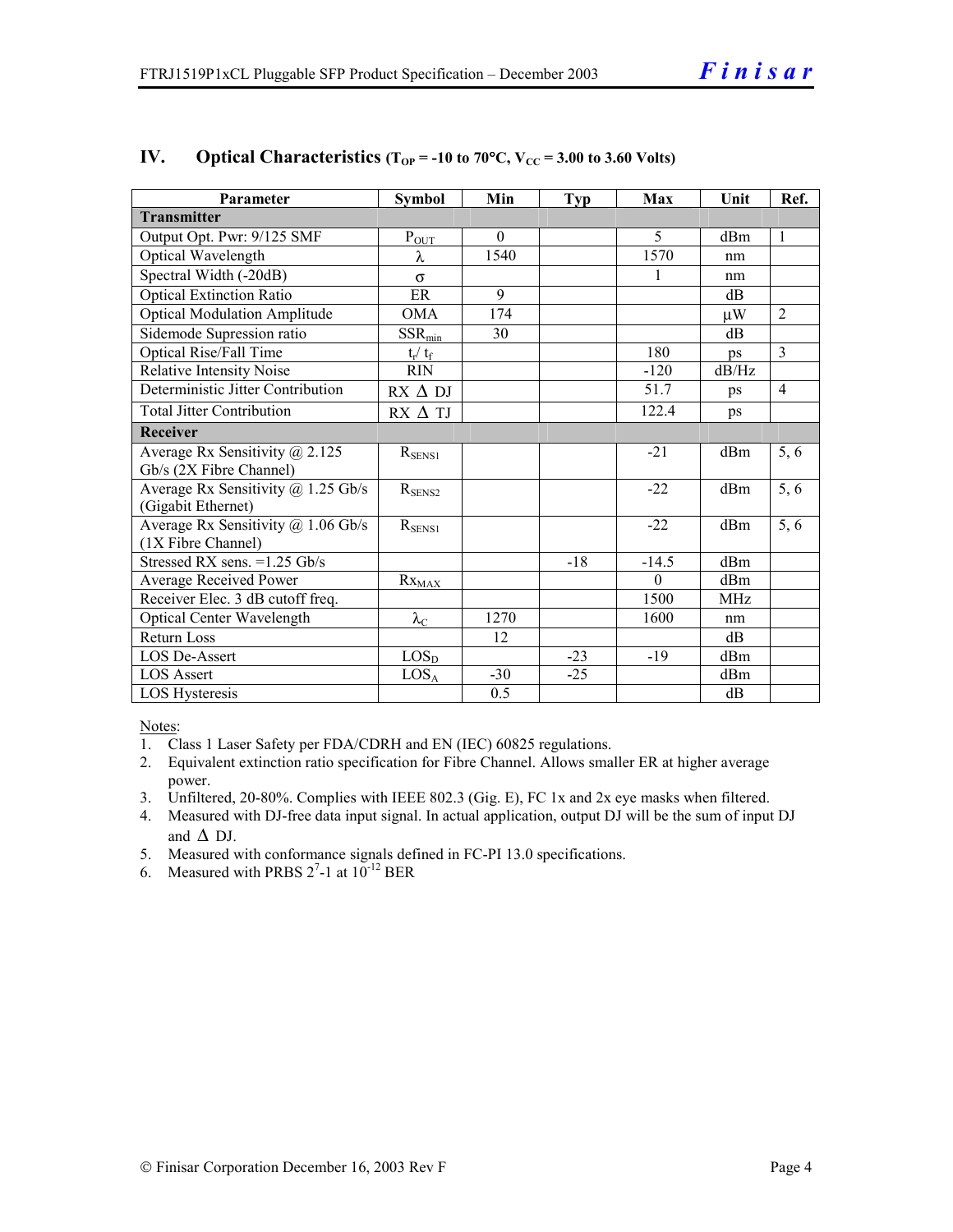| Parameter                              | <b>Symbol</b>          | Min      | <b>Typ</b> | Max      | Unit            | Ref.           |
|----------------------------------------|------------------------|----------|------------|----------|-----------------|----------------|
| <b>Transmitter</b>                     |                        |          |            |          |                 |                |
| Output Opt. Pwr: 9/125 SMF             | $P_{OUT}$              | $\theta$ |            | 5        | dBm             | $\mathbf{1}$   |
| Optical Wavelength                     | λ                      | 1540     |            | 1570     | nm              |                |
| Spectral Width (-20dB)                 | $\sigma$               |          |            | 1        | nm              |                |
| <b>Optical Extinction Ratio</b>        | ER                     | 9        |            |          | dВ              |                |
| <b>Optical Modulation Amplitude</b>    | <b>OMA</b>             | 174      |            |          | $\mu$ W         | $\overline{2}$ |
| Sidemode Supression ratio              | $SSR_{min}$            | 30       |            |          | dB              |                |
| Optical Rise/Fall Time                 | $t_r / t_f$            |          |            | 180      | ps              | 3              |
| <b>Relative Intensity Noise</b>        | <b>RIN</b>             |          |            | $-120$   | dB/Hz           |                |
| Deterministic Jitter Contribution      | $RX \Delta DI$         |          |            | 51.7     | ps              | $\overline{4}$ |
| <b>Total Jitter Contribution</b>       | $RX \Delta TI$         |          |            | 122.4    | ps              |                |
| Receiver                               |                        |          |            |          |                 |                |
| Average Rx Sensitivity $\omega$ 2.125  | $R_{SENS1}$            |          |            | $-21$    | dBm             | 5, 6           |
| Gb/s (2X Fibre Channel)                |                        |          |            |          |                 |                |
| Average Rx Sensitivity $(a)$ 1.25 Gb/s | $R_{\text{SENS2}}$     |          |            | $-22$    | d <sub>Bm</sub> | 5, 6           |
| (Gigabit Ethernet)                     |                        |          |            |          |                 |                |
| Average Rx Sensitivity @ 1.06 Gb/s     | $R_{SENS1}$            |          |            | $-22$    | dBm             | 5, 6           |
| (1X Fibre Channel)                     |                        |          |            |          |                 |                |
| Stressed RX sens. = 1.25 Gb/s          |                        |          | $-18$      | $-14.5$  | dBm             |                |
| Average Received Power                 | $Rx_{\underline{MAX}}$ |          |            | $\Omega$ | dBm             |                |
| Receiver Elec. 3 dB cutoff freq.       |                        |          |            | 1500     | <b>MHz</b>      |                |
| <b>Optical Center Wavelength</b>       | $\lambda_{\text{C}}$   | 1270     |            | 1600     | nm              |                |
| <b>Return Loss</b>                     |                        | 12       |            |          | dB              |                |
| LOS De-Assert                          | LOS <sub>D</sub>       |          | $-23$      | $-19$    | dBm             |                |
| <b>LOS Assert</b>                      | $LOS_A$                | $-30$    | $-25$      |          | dBm             |                |
| LOS Hysteresis                         |                        | 0.5      |            |          | dB              |                |

#### IV. Optical Characteristics ( $T_{OP}$  = -10 to 70°C,  $V_{CC}$  = 3.00 to 3.60 Volts)

Notes:

- 1. Class 1 Laser Safety per FDA/CDRH and EN (IEC) 60825 regulations.
- 2. Equivalent extinction ratio specification for Fibre Channel. Allows smaller ER at higher average power.
- 3. Unfiltered, 20-80%. Complies with IEEE 802.3 (Gig. E), FC 1x and 2x eye masks when filtered.
- 4. Measured with DJ-free data input signal. In actual application, output DJ will be the sum of input DJ and  $\Delta$  DJ.
- 5. Measured with conformance signals defined in FC-PI 13.0 specifications.
- 6. Measured with PRBS  $2^7$ -1 at  $10^{-12}$  BER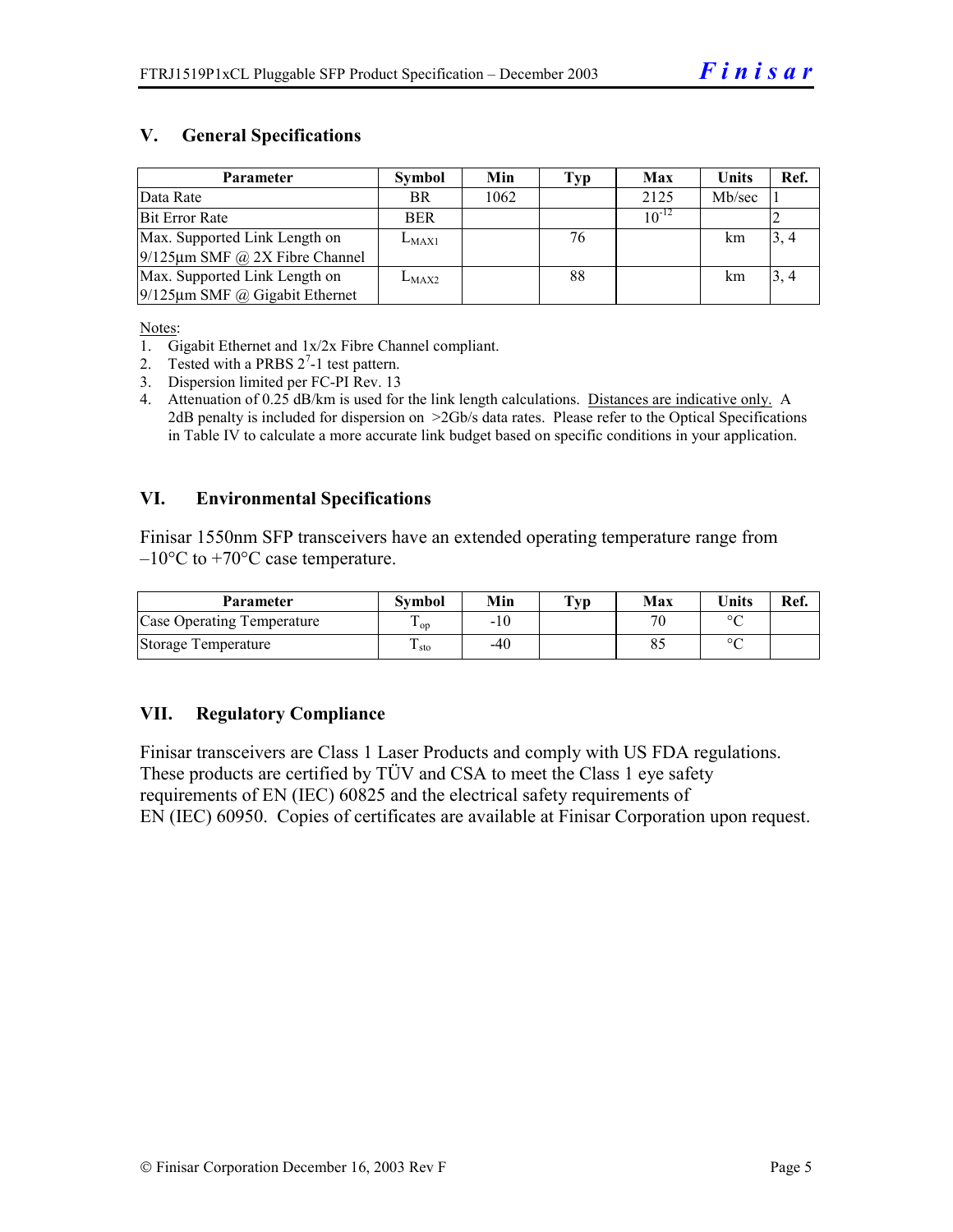#### **V. General Specifications**

| <b>Parameter</b>                     | <b>Symbol</b> | Min  | Typ | Max        | Units  | Ref. |
|--------------------------------------|---------------|------|-----|------------|--------|------|
| Data Rate                            | <b>BR</b>     | 1062 |     | 2125       | Mb/sec |      |
| Bit Error Rate                       | <b>BER</b>    |      |     | $10^{-12}$ |        |      |
| Max. Supported Link Length on        | $L_{MAX1}$    |      | 76  |            | km     | 3, 4 |
| $9/125 \mu m$ SMF @ 2X Fibre Channel |               |      |     |            |        |      |
| Max. Supported Link Length on        | $L_{MAX2}$    |      | 88  |            | km     | 3, 4 |
| $9/125 \mu m$ SMF @ Gigabit Ethernet |               |      |     |            |        |      |

Notes:

- 2. Tested with a PRBS  $2^7$ -1 test pattern.
- 3. Dispersion limited per FC-PI Rev. 13
- 4. Attenuation of 0.25 dB/km is used for the link length calculations. Distances are indicative only. A 2dB penalty is included for dispersion on >2Gb/s data rates. Please refer to the Optical Specifications in Table IV to calculate a more accurate link budget based on specific conditions in your application.

#### **VI. Environmental Specifications**

Finisar 1550nm SFP transceivers have an extended operating temperature range from  $-10\degree$ C to  $+70\degree$ C case temperature.

| <b>Parameter</b>                  | <b>Symbol</b>   | Min   | $\mathbf{T}_{\mathbf{V}\mathbf{p}}$ | Max | <b>Units</b> | Ref. |
|-----------------------------------|-----------------|-------|-------------------------------------|-----|--------------|------|
| <b>Case Operating Temperature</b> | $\mathbf{1}$ op | $-10$ |                                     | 70  | $\sim$       |      |
| Storage Temperature               | ⊥ sto           | -40   |                                     |     | $\sim$       |      |

#### **VII. Regulatory Compliance**

Finisar transceivers are Class 1 Laser Products and comply with US FDA regulations. These products are certified by TÜV and CSA to meet the Class 1 eye safety requirements of EN (IEC) 60825 and the electrical safety requirements of EN (IEC) 60950. Copies of certificates are available at Finisar Corporation upon request.

<sup>1.</sup> Gigabit Ethernet and 1x/2x Fibre Channel compliant.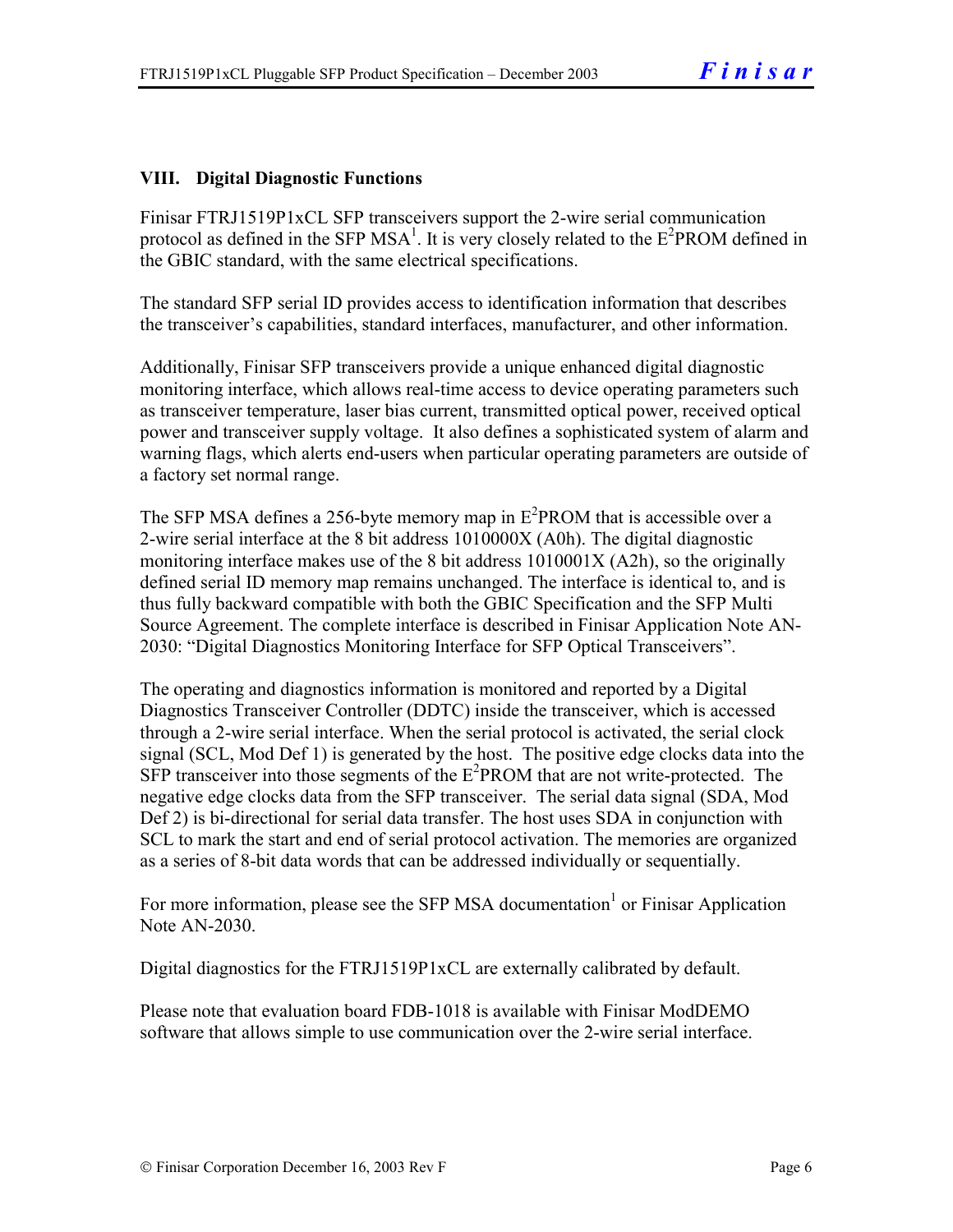#### **VIII. Digital Diagnostic Functions**

Finisar FTRJ1519P1xCL SFP transceivers support the 2-wire serial communication protocol as defined in the SFP MSA<sup>1</sup>. It is very closely related to the  $E^2$ PROM defined in the GBIC standard, with the same electrical specifications.

The standard SFP serial ID provides access to identification information that describes the transceiver's capabilities, standard interfaces, manufacturer, and other information.

Additionally, Finisar SFP transceivers provide a unique enhanced digital diagnostic monitoring interface, which allows real-time access to device operating parameters such as transceiver temperature, laser bias current, transmitted optical power, received optical power and transceiver supply voltage. It also defines a sophisticated system of alarm and warning flags, which alerts end-users when particular operating parameters are outside of a factory set normal range.

The SFP MSA defines a 256-byte memory map in  $E^2$ PROM that is accessible over a 2-wire serial interface at the 8 bit address 1010000X (A0h). The digital diagnostic monitoring interface makes use of the 8 bit address 1010001X (A2h), so the originally defined serial ID memory map remains unchanged. The interface is identical to, and is thus fully backward compatible with both the GBIC Specification and the SFP Multi Source Agreement. The complete interface is described in Finisar Application Note AN-2030: "Digital Diagnostics Monitoring Interface for SFP Optical Transceivers".

The operating and diagnostics information is monitored and reported by a Digital Diagnostics Transceiver Controller (DDTC) inside the transceiver, which is accessed through a 2-wire serial interface. When the serial protocol is activated, the serial clock signal (SCL, Mod Def 1) is generated by the host. The positive edge clocks data into the  $SFP$  transceiver into those segments of the  $E^2$ PROM that are not write-protected. The negative edge clocks data from the SFP transceiver. The serial data signal (SDA, Mod Def 2) is bi-directional for serial data transfer. The host uses SDA in conjunction with SCL to mark the start and end of serial protocol activation. The memories are organized as a series of 8-bit data words that can be addressed individually or sequentially.

For more information, please see the SFP MSA documentation<sup>1</sup> or Finisar Application Note AN-2030.

Digital diagnostics for the FTRJ1519P1xCL are externally calibrated by default.

Please note that evaluation board FDB-1018 is available with Finisar ModDEMO software that allows simple to use communication over the 2-wire serial interface.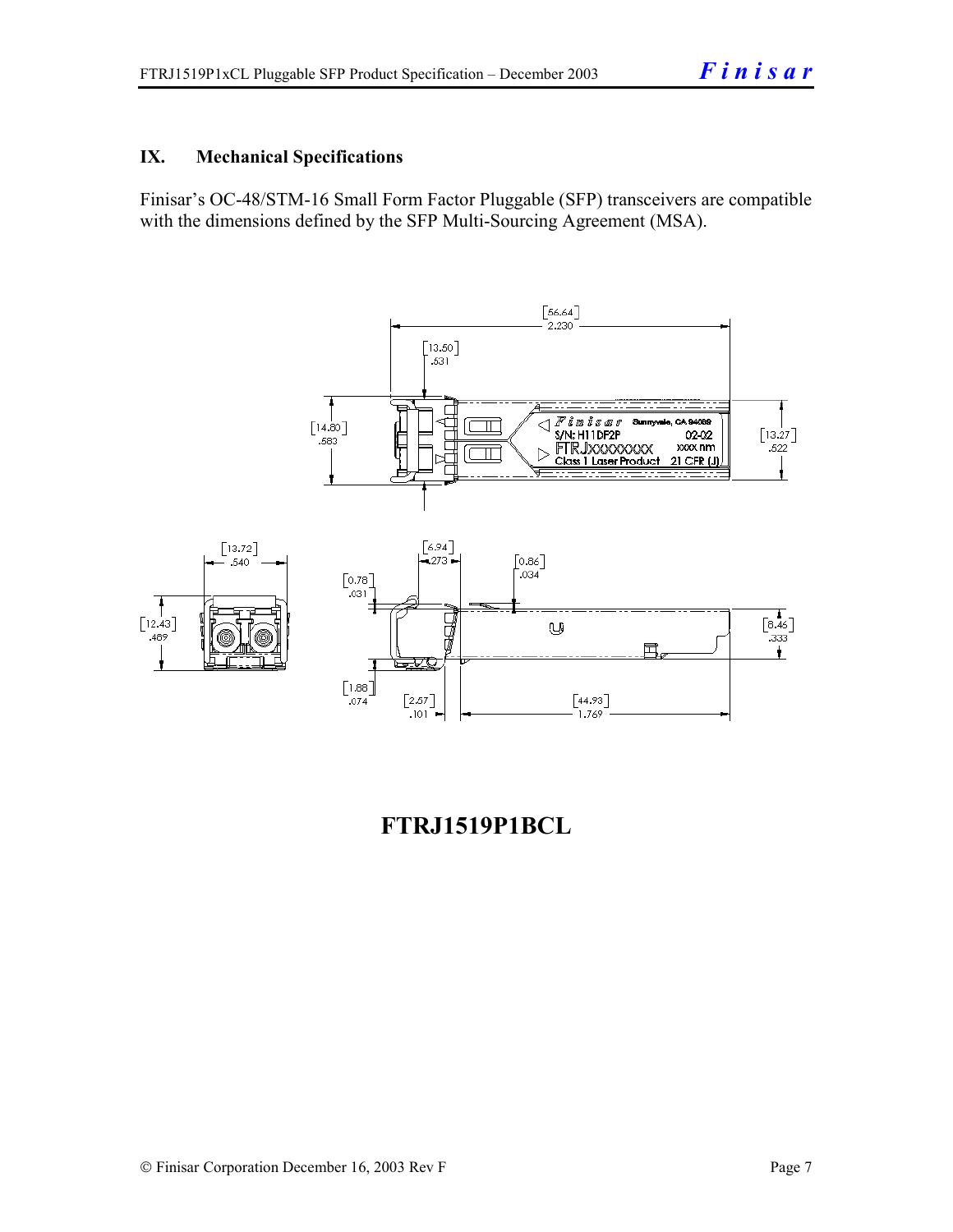#### **IX. Mechanical Specifications**

Finisar's OC-48/STM-16 Small Form Factor Pluggable (SFP) transceivers are compatible with the dimensions defined by the SFP Multi-Sourcing Agreement (MSA).



### **FTRJ1519P1BCL**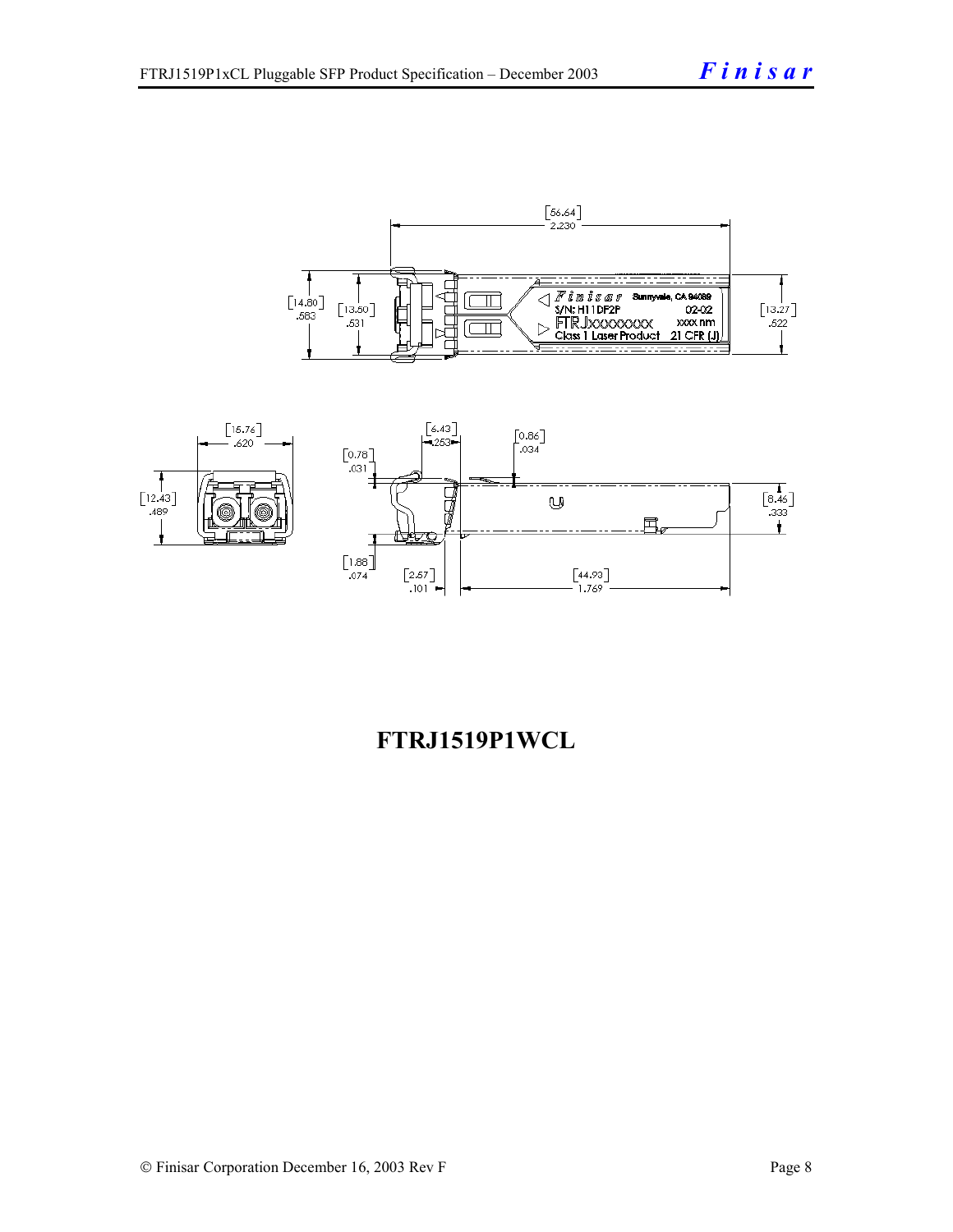



## **FTRJ1519P1WCL**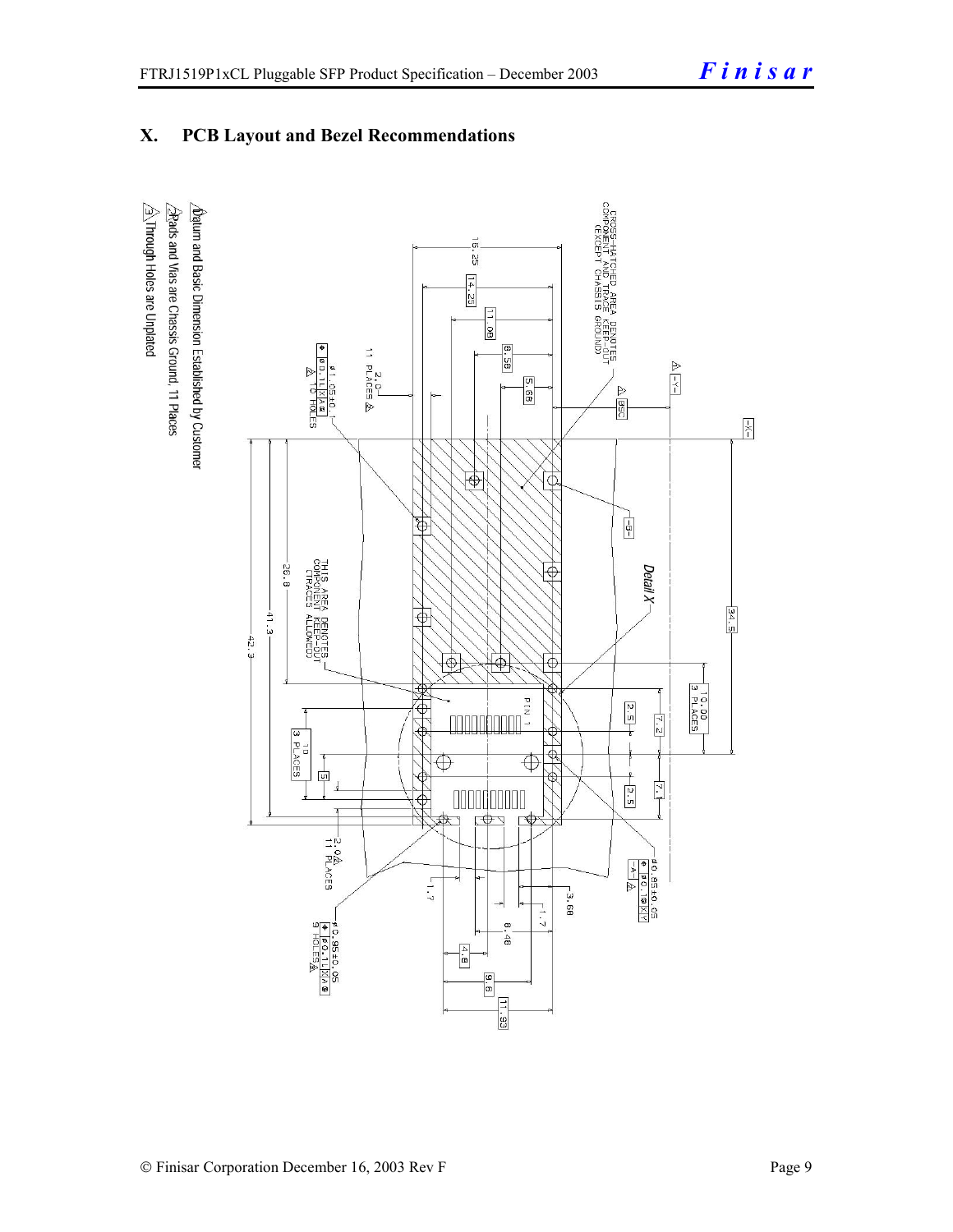#### **X. PCB Layout and Bezel Recommendations**

 $\hat{\triangle}$ Through Holes are Unplated  $\Delta$ atum and Basic Dimension Established by Customer  $\triangle$ Rads and Vias are Chassis Ground, 11 Places

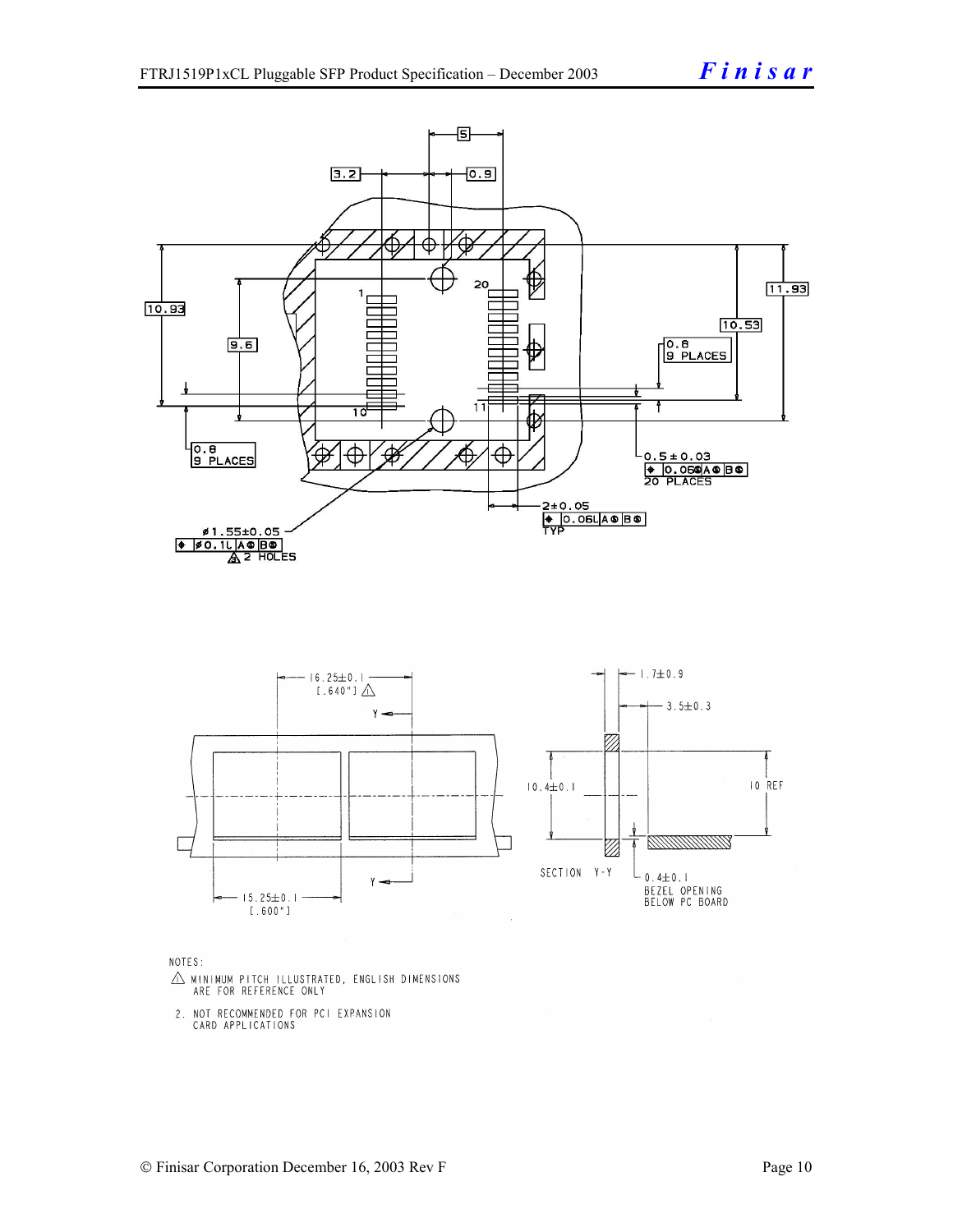

NOTES:

- $\triangle$  MINIMUM PITCH ILLUSTRATED, ENGLISH DIMENSIONS ARE FOR REFERENCE ONLY
- 2. NOT RECOMMENDED FOR PCI EXPANSION CARD APPLICATIONS